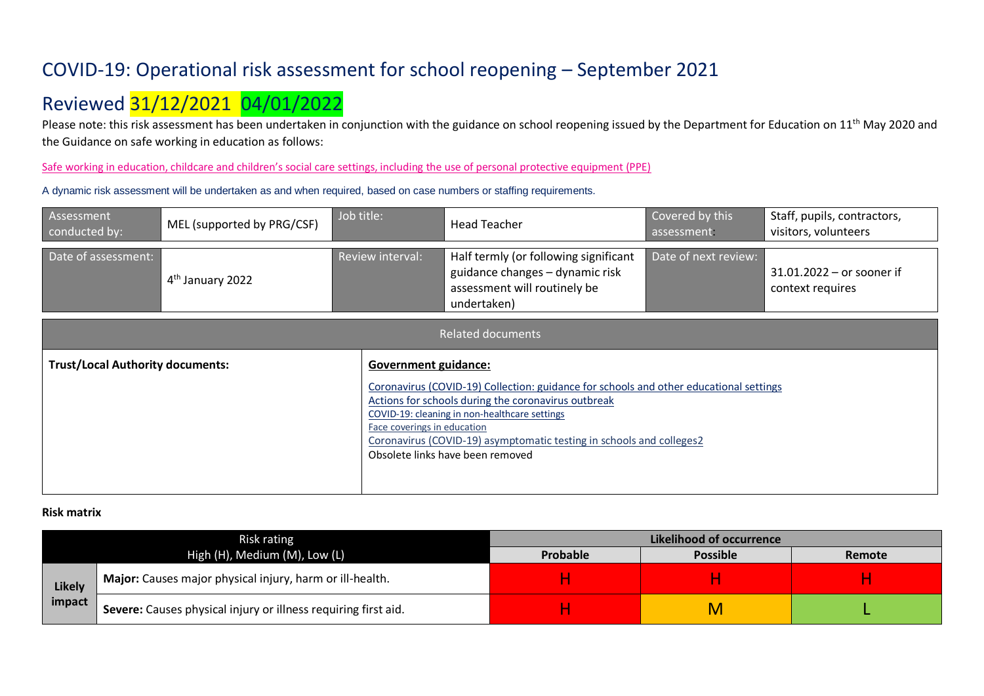### COVID-19: Operational risk assessment for school reopening – September 2021

# Reviewed 31/12/2021 04/01/2022

Please note: this risk assessment has been undertaken in conjunction with the guidance on school reopening issued by the Department for Education on 11<sup>th</sup> May 2020 and the Guidance on safe working in education as follows:

Safe workin[g in education, childcare and children's social care settings, including the use of personal protective equipment \(PPE\)](https://www.gov.uk/government/publications/safe-working-in-education-childcare-and-childrens-social-care/safe-working-in-education-childcare-and-childrens-social-care-settings-including-the-use-of-personal-protective-equipment-ppe)

A dynamic risk assessment will be undertaken as and when required, based on case numbers or staffing requirements.

| Assessment<br>conducted by:             | MEL (supported by PRG/CSF)   | Job title:                                                 | <b>Head Teacher</b>                                                                                                                                                                                                                                                                                        | Covered by this<br>assessment: | Staff, pupils, contractors,<br>visitors, volunteers |  |  |  |
|-----------------------------------------|------------------------------|------------------------------------------------------------|------------------------------------------------------------------------------------------------------------------------------------------------------------------------------------------------------------------------------------------------------------------------------------------------------------|--------------------------------|-----------------------------------------------------|--|--|--|
| Date of assessment:                     | 4 <sup>th</sup> January 2022 | Review interval:                                           | Half termly (or following significant<br>guidance changes - dynamic risk<br>assessment will routinely be<br>undertaken)                                                                                                                                                                                    | Date of next review:           | $31.01.2022 - or sooner$ if<br>context requires     |  |  |  |
|                                         | <b>Related documents</b>     |                                                            |                                                                                                                                                                                                                                                                                                            |                                |                                                     |  |  |  |
| <b>Trust/Local Authority documents:</b> |                              | <b>Government guidance:</b><br>Face coverings in education | Coronavirus (COVID-19) Collection: guidance for schools and other educational settings<br>Actions for schools during the coronavirus outbreak<br>COVID-19: cleaning in non-healthcare settings<br>Coronavirus (COVID-19) asymptomatic testing in schools and colleges2<br>Obsolete links have been removed |                                |                                                     |  |  |  |

#### **Risk matrix**

|        | Risk rating                                                    | Likelihood of occurrence |                 |        |  |  |
|--------|----------------------------------------------------------------|--------------------------|-----------------|--------|--|--|
|        | High (H), Medium (M), Low (L)                                  | Probable                 | <b>Possible</b> | Remote |  |  |
| Likely | Major: Causes major physical injury, harm or ill-health.       |                          |                 |        |  |  |
| impact | Severe: Causes physical injury or illness requiring first aid. |                          | M               |        |  |  |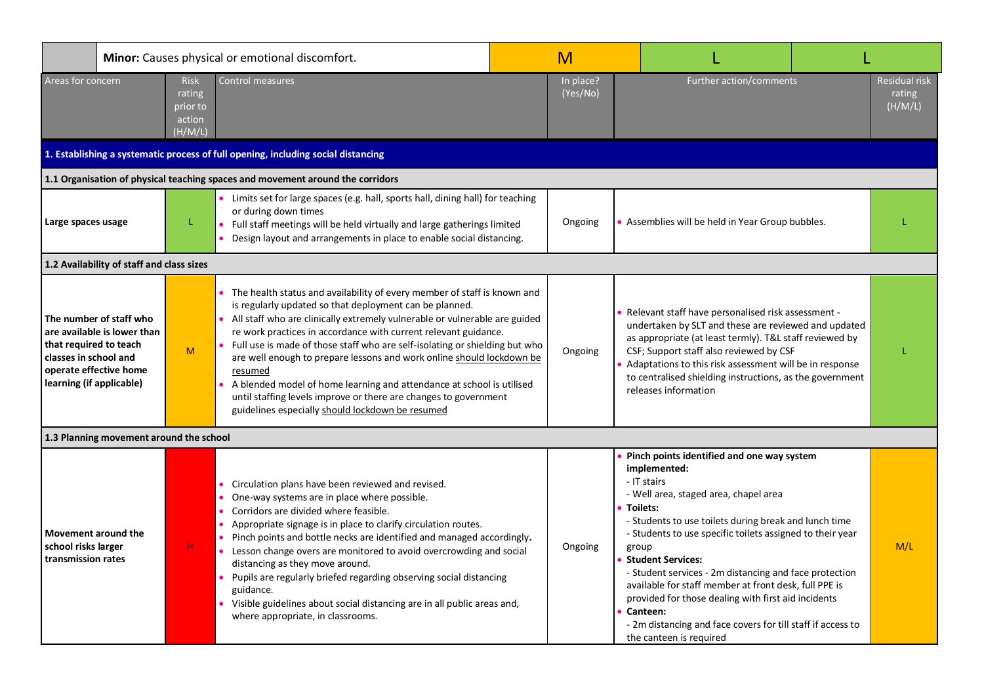|                                                                                                       |                                                        |                                                        | Minor: Causes physical or emotional discomfort.                                                                                                                                                                                                                                                                                                                                                                                                                                                                                                                                                                                                                | M                     |       |                                                                                                                                                                                                                                                                                                                                                                                                                                                                                                                                                                    |                                           |
|-------------------------------------------------------------------------------------------------------|--------------------------------------------------------|--------------------------------------------------------|----------------------------------------------------------------------------------------------------------------------------------------------------------------------------------------------------------------------------------------------------------------------------------------------------------------------------------------------------------------------------------------------------------------------------------------------------------------------------------------------------------------------------------------------------------------------------------------------------------------------------------------------------------------|-----------------------|-------|--------------------------------------------------------------------------------------------------------------------------------------------------------------------------------------------------------------------------------------------------------------------------------------------------------------------------------------------------------------------------------------------------------------------------------------------------------------------------------------------------------------------------------------------------------------------|-------------------------------------------|
| Areas for concern                                                                                     |                                                        | <b>Risk</b><br>rating<br>prior to<br>action<br>(H/M/L) | <b>Control measures</b>                                                                                                                                                                                                                                                                                                                                                                                                                                                                                                                                                                                                                                        | In place?<br>(Yes/No) |       | Further action/comments                                                                                                                                                                                                                                                                                                                                                                                                                                                                                                                                            | <b>Residual risk</b><br>rating<br>(H/M/L) |
|                                                                                                       |                                                        |                                                        | 1. Establishing a systematic process of full opening, including social distancing                                                                                                                                                                                                                                                                                                                                                                                                                                                                                                                                                                              |                       |       |                                                                                                                                                                                                                                                                                                                                                                                                                                                                                                                                                                    |                                           |
|                                                                                                       |                                                        |                                                        | 1.1 Organisation of physical teaching spaces and movement around the corridors                                                                                                                                                                                                                                                                                                                                                                                                                                                                                                                                                                                 |                       |       |                                                                                                                                                                                                                                                                                                                                                                                                                                                                                                                                                                    |                                           |
| Large spaces usage                                                                                    |                                                        | L                                                      | Limits set for large spaces (e.g. hall, sports hall, dining hall) for teaching<br>or during down times<br>Full staff meetings will be held virtually and large gatherings limited<br>Design layout and arrangements in place to enable social distancing.                                                                                                                                                                                                                                                                                                                                                                                                      | Ongoing               |       | • Assemblies will be held in Year Group bubbles.                                                                                                                                                                                                                                                                                                                                                                                                                                                                                                                   |                                           |
|                                                                                                       | 1.2 Availability of staff and class sizes              |                                                        |                                                                                                                                                                                                                                                                                                                                                                                                                                                                                                                                                                                                                                                                |                       |       |                                                                                                                                                                                                                                                                                                                                                                                                                                                                                                                                                                    |                                           |
| that required to teach<br>classes in school and<br>operate effective home<br>learning (if applicable) | The number of staff who<br>are available is lower than | M                                                      | • The health status and availability of every member of staff is known and<br>is regularly updated so that deployment can be planned.<br>• All staff who are clinically extremely vulnerable or vulnerable are guided<br>re work practices in accordance with current relevant guidance.<br>• Full use is made of those staff who are self-isolating or shielding but who<br>are well enough to prepare lessons and work online should lockdown be<br>resumed<br>A blended model of home learning and attendance at school is utilised<br>until staffing levels improve or there are changes to government<br>guidelines especially should lockdown be resumed | Ongoing               |       | • Relevant staff have personalised risk assessment -<br>undertaken by SLT and these are reviewed and updated<br>as appropriate (at least termly). T&L staff reviewed by<br>CSF; Support staff also reviewed by CSF<br>Adaptations to this risk assessment will be in response<br>to centralised shielding instructions, as the government<br>releases information                                                                                                                                                                                                  |                                           |
|                                                                                                       | 1.3 Planning movement around the school                |                                                        |                                                                                                                                                                                                                                                                                                                                                                                                                                                                                                                                                                                                                                                                |                       |       |                                                                                                                                                                                                                                                                                                                                                                                                                                                                                                                                                                    |                                           |
| Movement around the<br>school risks larger<br>transmission rates                                      |                                                        | н                                                      | Circulation plans have been reviewed and revised.<br>One-way systems are in place where possible.<br>Corridors are divided where feasible.<br>• Appropriate signage is in place to clarify circulation routes.<br>• Pinch points and bottle necks are identified and managed accordingly.<br>• Lesson change overs are monitored to avoid overcrowding and social<br>distancing as they move around.<br>Pupils are regularly briefed regarding observing social distancing<br>guidance.<br>• Visible guidelines about social distancing are in all public areas and,<br>where appropriate, in classrooms.                                                      | Ongoing               | group | Pinch points identified and one way system<br>implemented:<br>- IT stairs<br>- Well area, staged area, chapel area<br>• Toilets:<br>- Students to use toilets during break and lunch time<br>- Students to use specific toilets assigned to their year<br><b>Student Services:</b><br>- Student services - 2m distancing and face protection<br>available for staff member at front desk, full PPE is<br>provided for those dealing with first aid incidents<br>Canteen:<br>- 2m distancing and face covers for till staff if access to<br>the canteen is required | M/L                                       |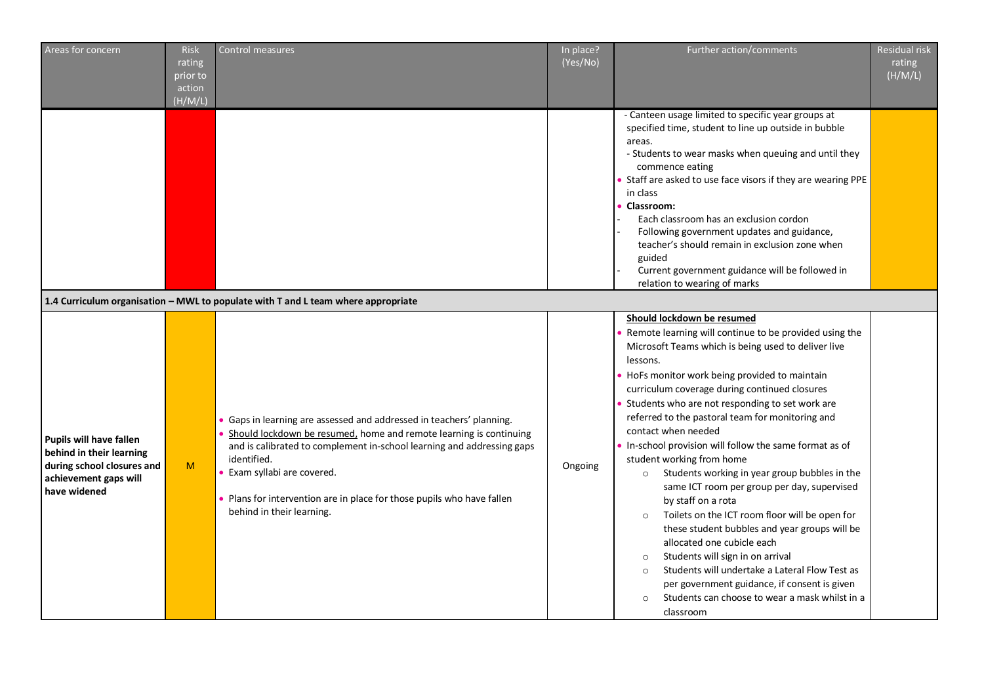| Areas for concern                                                                                                          | <b>Risk</b>        | Control measures                                                                                                                                                                                                                                                                                                                                                        | In place? | Further action/comments                                                                                                                                                                                                                                                                                                                                                                                                                                                                                                                                                                                                                                                                                                     | Residual risk |
|----------------------------------------------------------------------------------------------------------------------------|--------------------|-------------------------------------------------------------------------------------------------------------------------------------------------------------------------------------------------------------------------------------------------------------------------------------------------------------------------------------------------------------------------|-----------|-----------------------------------------------------------------------------------------------------------------------------------------------------------------------------------------------------------------------------------------------------------------------------------------------------------------------------------------------------------------------------------------------------------------------------------------------------------------------------------------------------------------------------------------------------------------------------------------------------------------------------------------------------------------------------------------------------------------------------|---------------|
|                                                                                                                            | rating             |                                                                                                                                                                                                                                                                                                                                                                         | (Yes/No)  |                                                                                                                                                                                                                                                                                                                                                                                                                                                                                                                                                                                                                                                                                                                             | rating        |
|                                                                                                                            | prior to<br>action |                                                                                                                                                                                                                                                                                                                                                                         |           |                                                                                                                                                                                                                                                                                                                                                                                                                                                                                                                                                                                                                                                                                                                             | (H/M/L)       |
|                                                                                                                            | (H/M/L)            |                                                                                                                                                                                                                                                                                                                                                                         |           |                                                                                                                                                                                                                                                                                                                                                                                                                                                                                                                                                                                                                                                                                                                             |               |
|                                                                                                                            |                    |                                                                                                                                                                                                                                                                                                                                                                         |           | - Canteen usage limited to specific year groups at<br>specified time, student to line up outside in bubble<br>areas.<br>- Students to wear masks when queuing and until they<br>commence eating<br>Staff are asked to use face visors if they are wearing PPE<br>in class<br>• Classroom:<br>Each classroom has an exclusion cordon<br>Following government updates and guidance,<br>teacher's should remain in exclusion zone when<br>guided<br>Current government guidance will be followed in<br>relation to wearing of marks                                                                                                                                                                                            |               |
|                                                                                                                            |                    | 1.4 Curriculum organisation - MWL to populate with T and L team where appropriate                                                                                                                                                                                                                                                                                       |           |                                                                                                                                                                                                                                                                                                                                                                                                                                                                                                                                                                                                                                                                                                                             |               |
| Pupils will have fallen<br>behind in their learning<br>during school closures and<br>achievement gaps will<br>have widened | M                  | · Gaps in learning are assessed and addressed in teachers' planning.<br>Should lockdown be resumed, home and remote learning is continuing<br>and is calibrated to complement in-school learning and addressing gaps<br>identified.<br>• Exam syllabi are covered.<br>Plans for intervention are in place for those pupils who have fallen<br>behind in their learning. | Ongoing   | Should lockdown be resumed<br>Remote learning will continue to be provided using the<br>Microsoft Teams which is being used to deliver live<br>lessons.<br>HoFs monitor work being provided to maintain<br>curriculum coverage during continued closures<br>Students who are not responding to set work are<br>referred to the pastoral team for monitoring and<br>contact when needed<br>In-school provision will follow the same format as of<br>student working from home<br>Students working in year group bubbles in the<br>$\circ$<br>same ICT room per group per day, supervised<br>by staff on a rota<br>Toilets on the ICT room floor will be open for<br>$\circ$<br>these student bubbles and year groups will be |               |
|                                                                                                                            |                    |                                                                                                                                                                                                                                                                                                                                                                         |           | allocated one cubicle each<br>Students will sign in on arrival<br>$\circ$<br>Students will undertake a Lateral Flow Test as<br>$\circ$<br>per government guidance, if consent is given<br>Students can choose to wear a mask whilst in a<br>$\circ$<br>classroom                                                                                                                                                                                                                                                                                                                                                                                                                                                            |               |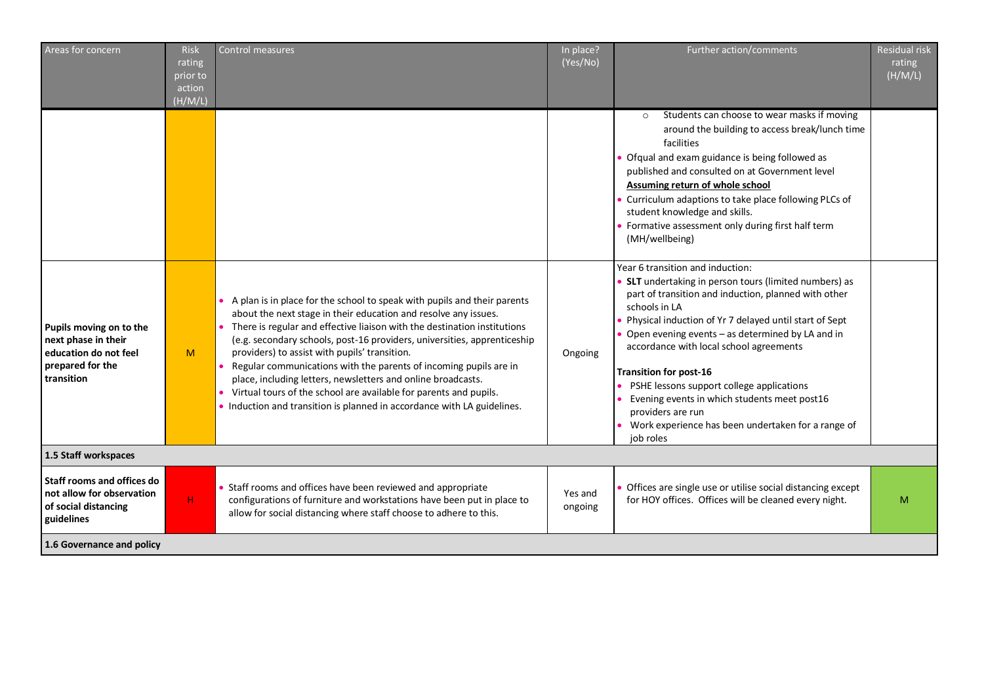| Areas for concern                                                                                         | <b>Risk</b><br>rating              | Control measures                                                                                                                                                                                                                                                                                                                                                                                                                                                                                                                                                                                                                                  | In place?<br>(Yes/No) | Further action/comments                                                                                                                                                                                                                                                                                                                                                                                                                                                                                                                          | Residual risk<br>rating |
|-----------------------------------------------------------------------------------------------------------|------------------------------------|---------------------------------------------------------------------------------------------------------------------------------------------------------------------------------------------------------------------------------------------------------------------------------------------------------------------------------------------------------------------------------------------------------------------------------------------------------------------------------------------------------------------------------------------------------------------------------------------------------------------------------------------------|-----------------------|--------------------------------------------------------------------------------------------------------------------------------------------------------------------------------------------------------------------------------------------------------------------------------------------------------------------------------------------------------------------------------------------------------------------------------------------------------------------------------------------------------------------------------------------------|-------------------------|
|                                                                                                           | prior to<br>action<br>(H/M/L)      |                                                                                                                                                                                                                                                                                                                                                                                                                                                                                                                                                                                                                                                   |                       |                                                                                                                                                                                                                                                                                                                                                                                                                                                                                                                                                  | (H/M/L)                 |
|                                                                                                           |                                    |                                                                                                                                                                                                                                                                                                                                                                                                                                                                                                                                                                                                                                                   |                       | Students can choose to wear masks if moving<br>around the building to access break/lunch time<br>facilities<br>Ofqual and exam guidance is being followed as<br>published and consulted on at Government level<br>Assuming return of whole school<br>Curriculum adaptions to take place following PLCs of<br>student knowledge and skills.<br>Formative assessment only during first half term<br>(MH/wellbeing)                                                                                                                                 |                         |
| Pupils moving on to the<br>next phase in their<br>education do not feel<br>prepared for the<br>transition | M                                  | • A plan is in place for the school to speak with pupils and their parents<br>about the next stage in their education and resolve any issues.<br>• There is regular and effective liaison with the destination institutions<br>(e.g. secondary schools, post-16 providers, universities, apprenticeship<br>providers) to assist with pupils' transition.<br>• Regular communications with the parents of incoming pupils are in<br>place, including letters, newsletters and online broadcasts.<br>• Virtual tours of the school are available for parents and pupils.<br>• Induction and transition is planned in accordance with LA guidelines. | Ongoing               | Year 6 transition and induction:<br>SLT undertaking in person tours (limited numbers) as<br>part of transition and induction, planned with other<br>schools in LA<br>Physical induction of Yr 7 delayed until start of Sept<br>Open evening events - as determined by LA and in<br>accordance with local school agreements<br><b>Transition for post-16</b><br>PSHE lessons support college applications<br>Evening events in which students meet post16<br>providers are run<br>Work experience has been undertaken for a range of<br>job roles |                         |
| 1.5 Staff workspaces                                                                                      |                                    |                                                                                                                                                                                                                                                                                                                                                                                                                                                                                                                                                                                                                                                   |                       |                                                                                                                                                                                                                                                                                                                                                                                                                                                                                                                                                  |                         |
| <b>Staff rooms and offices do</b><br>not allow for observation<br>of social distancing<br>guidelines      | $\mathsf{H}% _{\mathsf{H}}^{\ast}$ | • Staff rooms and offices have been reviewed and appropriate<br>configurations of furniture and workstations have been put in place to<br>allow for social distancing where staff choose to adhere to this.                                                                                                                                                                                                                                                                                                                                                                                                                                       | Yes and<br>ongoing    | Offices are single use or utilise social distancing except<br>for HOY offices. Offices will be cleaned every night.                                                                                                                                                                                                                                                                                                                                                                                                                              | M                       |
| 1.6 Governance and policy                                                                                 |                                    |                                                                                                                                                                                                                                                                                                                                                                                                                                                                                                                                                                                                                                                   |                       |                                                                                                                                                                                                                                                                                                                                                                                                                                                                                                                                                  |                         |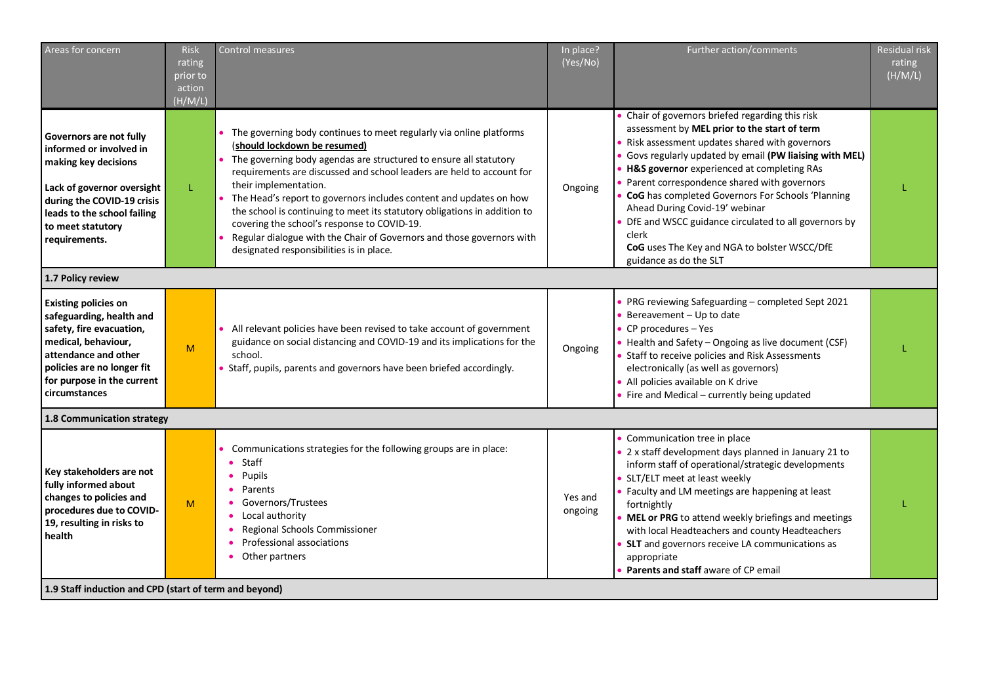| Areas for concern                                                                                                                                                                                               | <b>Risk</b><br>rating<br>prior to<br>action<br>(H/M/L) | Control measures                                                                                                                                                                                                                                                                                                                                                                                                                                                                                                                                                                                    | In place?<br>(Yes/No) | Further action/comments                                                                                                                                                                                                                                                                                                                                                                                                                                                                                                                                | Residual risk<br>rating<br>(H/M/L) |
|-----------------------------------------------------------------------------------------------------------------------------------------------------------------------------------------------------------------|--------------------------------------------------------|-----------------------------------------------------------------------------------------------------------------------------------------------------------------------------------------------------------------------------------------------------------------------------------------------------------------------------------------------------------------------------------------------------------------------------------------------------------------------------------------------------------------------------------------------------------------------------------------------------|-----------------------|--------------------------------------------------------------------------------------------------------------------------------------------------------------------------------------------------------------------------------------------------------------------------------------------------------------------------------------------------------------------------------------------------------------------------------------------------------------------------------------------------------------------------------------------------------|------------------------------------|
| Governors are not fully<br>informed or involved in<br>making key decisions<br>Lack of governor oversight<br>during the COVID-19 crisis<br>leads to the school failing<br>to meet statutory<br>requirements.     | Ĺ                                                      | • The governing body continues to meet regularly via online platforms<br>(should lockdown be resumed)<br>The governing body agendas are structured to ensure all statutory<br>requirements are discussed and school leaders are held to account for<br>their implementation.<br>The Head's report to governors includes content and updates on how<br>the school is continuing to meet its statutory obligations in addition to<br>covering the school's response to COVID-19.<br>Regular dialogue with the Chair of Governors and those governors with<br>designated responsibilities is in place. | Ongoing               | • Chair of governors briefed regarding this risk<br>assessment by MEL prior to the start of term<br>• Risk assessment updates shared with governors<br>• Govs regularly updated by email (PW liaising with MEL)<br>• H&S governor experienced at completing RAs<br>• Parent correspondence shared with governors<br>. CoG has completed Governors For Schools 'Planning<br>Ahead During Covid-19' webinar<br>• DfE and WSCC guidance circulated to all governors by<br>clerk<br>CoG uses The Key and NGA to bolster WSCC/DfE<br>guidance as do the SLT |                                    |
| 1.7 Policy review                                                                                                                                                                                               |                                                        |                                                                                                                                                                                                                                                                                                                                                                                                                                                                                                                                                                                                     |                       |                                                                                                                                                                                                                                                                                                                                                                                                                                                                                                                                                        |                                    |
| <b>Existing policies on</b><br>safeguarding, health and<br>safety, fire evacuation,<br>medical, behaviour,<br>attendance and other<br>policies are no longer fit<br>for purpose in the current<br>circumstances | M                                                      | • All relevant policies have been revised to take account of government<br>guidance on social distancing and COVID-19 and its implications for the<br>school.<br>• Staff, pupils, parents and governors have been briefed accordingly.                                                                                                                                                                                                                                                                                                                                                              | Ongoing               | • PRG reviewing Safeguarding - completed Sept 2021<br>$\bullet$ Bereavement - Up to date<br>• CP procedures $-$ Yes<br>• Health and Safety - Ongoing as live document (CSF)<br>• Staff to receive policies and Risk Assessments<br>electronically (as well as governors)<br>• All policies available on K drive<br>• Fire and Medical - currently being updated                                                                                                                                                                                        |                                    |
| 1.8 Communication strategy                                                                                                                                                                                      |                                                        |                                                                                                                                                                                                                                                                                                                                                                                                                                                                                                                                                                                                     |                       |                                                                                                                                                                                                                                                                                                                                                                                                                                                                                                                                                        |                                    |
| Key stakeholders are not<br>fully informed about<br>changes to policies and<br>procedures due to COVID-<br>19, resulting in risks to<br>health                                                                  | M                                                      | Communications strategies for the following groups are in place:<br>Staff<br>Pupils<br>Parents<br>Governors/Trustees<br>Local authority<br>Regional Schools Commissioner<br>Professional associations<br>• Other partners                                                                                                                                                                                                                                                                                                                                                                           | Yes and<br>ongoing    | • Communication tree in place<br>• 2 x staff development days planned in January 21 to<br>inform staff of operational/strategic developments<br>• SLT/ELT meet at least weekly<br>• Faculty and LM meetings are happening at least<br>fortnightly<br>MEL or PRG to attend weekly briefings and meetings<br>with local Headteachers and county Headteachers<br>• SLT and governors receive LA communications as<br>appropriate<br>• Parents and staff aware of CP email                                                                                 |                                    |
| 1.9 Staff induction and CPD (start of term and beyond)                                                                                                                                                          |                                                        |                                                                                                                                                                                                                                                                                                                                                                                                                                                                                                                                                                                                     |                       |                                                                                                                                                                                                                                                                                                                                                                                                                                                                                                                                                        |                                    |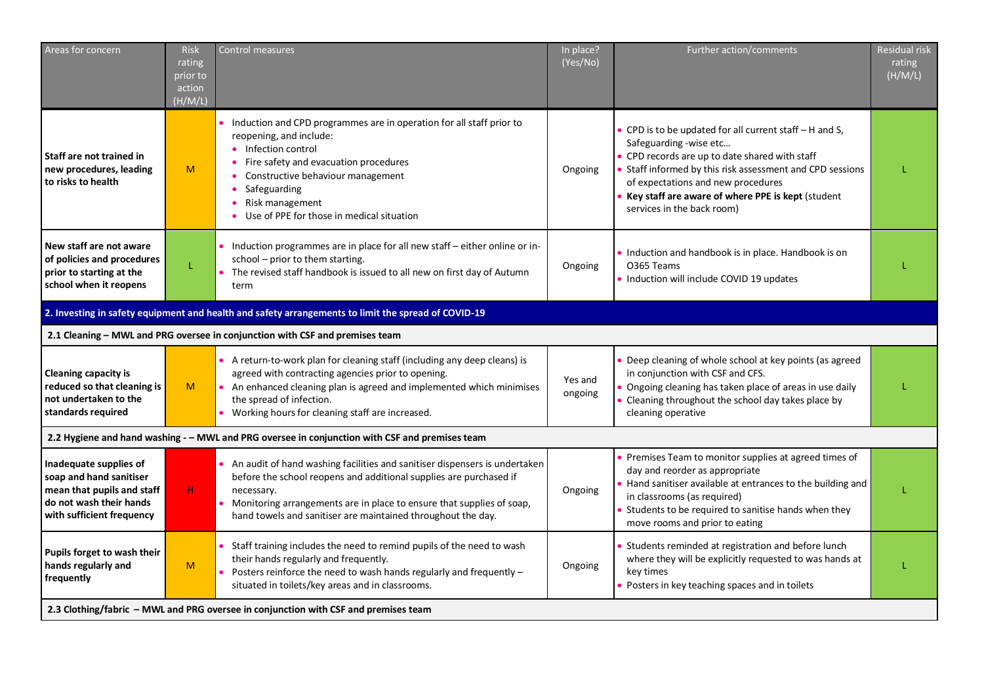| Areas for concern                                                                                                                       | <b>Risk</b><br>rating<br>prior to<br>action<br>(H/M/L) | <b>Control measures</b>                                                                                                                                                                                                                                                                                 | In place?<br>(Yes/No) | Further action/comments                                                                                                                                                                                                                                                                                               | <b>Residual risk</b><br>rating<br>(H/M/L) |
|-----------------------------------------------------------------------------------------------------------------------------------------|--------------------------------------------------------|---------------------------------------------------------------------------------------------------------------------------------------------------------------------------------------------------------------------------------------------------------------------------------------------------------|-----------------------|-----------------------------------------------------------------------------------------------------------------------------------------------------------------------------------------------------------------------------------------------------------------------------------------------------------------------|-------------------------------------------|
| Staff are not trained in<br>new procedures, leading<br>to risks to health                                                               | M                                                      | Induction and CPD programmes are in operation for all staff prior to<br>reopening, and include:<br>• Infection control<br>Fire safety and evacuation procedures<br>• Constructive behaviour management<br>Safeguarding<br>Risk management<br>Use of PPE for those in medical situation                  | Ongoing               | CPD is to be updated for all current staff - H and S,<br>Safeguarding -wise etc<br>• CPD records are up to date shared with staff<br>Staff informed by this risk assessment and CPD sessions<br>of expectations and new procedures<br>Key staff are aware of where PPE is kept (student<br>services in the back room) |                                           |
| New staff are not aware<br>of policies and procedures<br>prior to starting at the<br>school when it reopens                             | L                                                      | Induction programmes are in place for all new staff - either online or in-<br>school - prior to them starting.<br>The revised staff handbook is issued to all new on first day of Autumn<br>term                                                                                                        | Ongoing               | • Induction and handbook is in place. Handbook is on<br>O365 Teams<br>. Induction will include COVID 19 updates                                                                                                                                                                                                       |                                           |
|                                                                                                                                         |                                                        | 2. Investing in safety equipment and health and safety arrangements to limit the spread of COVID-19                                                                                                                                                                                                     |                       |                                                                                                                                                                                                                                                                                                                       |                                           |
|                                                                                                                                         |                                                        | 2.1 Cleaning - MWL and PRG oversee in conjunction with CSF and premises team                                                                                                                                                                                                                            |                       |                                                                                                                                                                                                                                                                                                                       |                                           |
| <b>Cleaning capacity is</b><br>reduced so that cleaning is<br>not undertaken to the<br>standards required                               | M                                                      | • A return-to-work plan for cleaning staff (including any deep cleans) is<br>agreed with contracting agencies prior to opening.<br>• An enhanced cleaning plan is agreed and implemented which minimises<br>the spread of infection.<br>• Working hours for cleaning staff are increased.               | Yes and<br>ongoing    | Deep cleaning of whole school at key points (as agreed<br>in conjunction with CSF and CFS.<br>Ongoing cleaning has taken place of areas in use daily<br>Cleaning throughout the school day takes place by<br>cleaning operative                                                                                       |                                           |
|                                                                                                                                         |                                                        | 2.2 Hygiene and hand washing - - MWL and PRG oversee in conjunction with CSF and premises team                                                                                                                                                                                                          |                       |                                                                                                                                                                                                                                                                                                                       |                                           |
| Inadequate supplies of<br>soap and hand sanitiser<br>mean that pupils and staff<br>do not wash their hands<br>with sufficient frequency | H                                                      | An audit of hand washing facilities and sanitiser dispensers is undertaken<br>before the school reopens and additional supplies are purchased if<br>necessary.<br>Monitoring arrangements are in place to ensure that supplies of soap,<br>hand towels and sanitiser are maintained throughout the day. | Ongoing               | Premises Team to monitor supplies at agreed times of<br>day and reorder as appropriate<br>Hand sanitiser available at entrances to the building and<br>in classrooms (as required)<br>Students to be required to sanitise hands when they<br>move rooms and prior to eating                                           |                                           |
| Pupils forget to wash their<br>hands regularly and<br>frequently                                                                        | M                                                      | Staff training includes the need to remind pupils of the need to wash<br>their hands regularly and frequently.<br>Posters reinforce the need to wash hands regularly and frequently -<br>situated in toilets/key areas and in classrooms.                                                               | Ongoing               | Students reminded at registration and before lunch<br>where they will be explicitly requested to was hands at<br>key times<br>Posters in key teaching spaces and in toilets                                                                                                                                           |                                           |
|                                                                                                                                         |                                                        | 2.3 Clothing/fabric - MWL and PRG oversee in conjunction with CSF and premises team                                                                                                                                                                                                                     |                       |                                                                                                                                                                                                                                                                                                                       |                                           |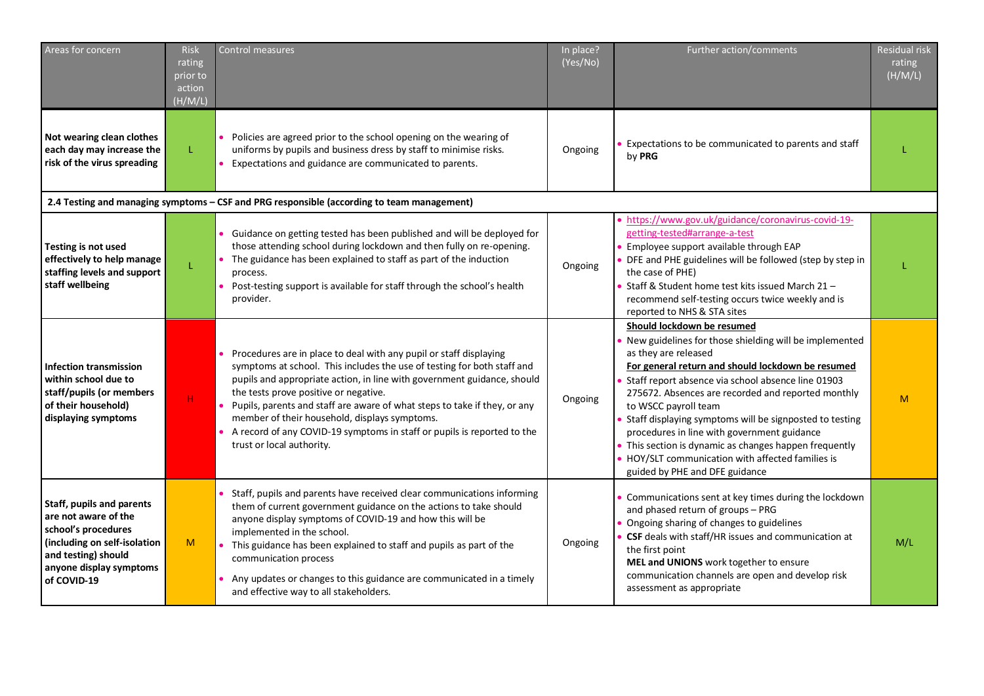| Areas for concern                                                                                                                                                                | <b>Risk</b><br>rating<br>prior to<br>action<br>(H/M/L) | <b>Control measures</b>                                                                                                                                                                                                                                                                                                                                                                                                                                                                                 | In place?<br>(Yes/No) | Further action/comments                                                                                                                                                                                                                                                                                                                                                                                                                                                                                                                                              | <b>Residual risk</b><br>rating<br>(H/M/L) |
|----------------------------------------------------------------------------------------------------------------------------------------------------------------------------------|--------------------------------------------------------|---------------------------------------------------------------------------------------------------------------------------------------------------------------------------------------------------------------------------------------------------------------------------------------------------------------------------------------------------------------------------------------------------------------------------------------------------------------------------------------------------------|-----------------------|----------------------------------------------------------------------------------------------------------------------------------------------------------------------------------------------------------------------------------------------------------------------------------------------------------------------------------------------------------------------------------------------------------------------------------------------------------------------------------------------------------------------------------------------------------------------|-------------------------------------------|
| Not wearing clean clothes<br>each day may increase the<br>risk of the virus spreading                                                                                            | L                                                      | Policies are agreed prior to the school opening on the wearing of<br>uniforms by pupils and business dress by staff to minimise risks.<br>Expectations and guidance are communicated to parents.                                                                                                                                                                                                                                                                                                        | Ongoing               | • Expectations to be communicated to parents and staff<br>by PRG                                                                                                                                                                                                                                                                                                                                                                                                                                                                                                     |                                           |
|                                                                                                                                                                                  |                                                        | 2.4 Testing and managing symptoms - CSF and PRG responsible (according to team management)                                                                                                                                                                                                                                                                                                                                                                                                              |                       |                                                                                                                                                                                                                                                                                                                                                                                                                                                                                                                                                                      |                                           |
| Testing is not used<br>effectively to help manage<br>staffing levels and support<br>staff wellbeing                                                                              | L                                                      | Guidance on getting tested has been published and will be deployed for<br>those attending school during lockdown and then fully on re-opening.<br>The guidance has been explained to staff as part of the induction<br>process.<br>Post-testing support is available for staff through the school's health<br>provider.                                                                                                                                                                                 | Ongoing               | • https://www.gov.uk/guidance/coronavirus-covid-19-<br>getting-tested#arrange-a-test<br>• Employee support available through EAP<br>• DFE and PHE guidelines will be followed (step by step in<br>the case of PHE)<br>• Staff & Student home test kits issued March 21 -<br>recommend self-testing occurs twice weekly and is<br>reported to NHS & STA sites                                                                                                                                                                                                         |                                           |
| <b>Infection transmission</b><br>within school due to<br>staff/pupils (or members<br>of their household)<br>displaying symptoms                                                  | H                                                      | Procedures are in place to deal with any pupil or staff displaying<br>symptoms at school. This includes the use of testing for both staff and<br>pupils and appropriate action, in line with government guidance, should<br>the tests prove positive or negative.<br>Pupils, parents and staff are aware of what steps to take if they, or any<br>member of their household, displays symptoms.<br>A record of any COVID-19 symptoms in staff or pupils is reported to the<br>trust or local authority. | Ongoing               | Should lockdown be resumed<br>New guidelines for those shielding will be implemented<br>as they are released<br>For general return and should lockdown be resumed<br>• Staff report absence via school absence line 01903<br>275672. Absences are recorded and reported monthly<br>to WSCC payroll team<br>• Staff displaying symptoms will be signposted to testing<br>procedures in line with government guidance<br>• This section is dynamic as changes happen frequently<br>• HOY/SLT communication with affected families is<br>guided by PHE and DFE guidance | M                                         |
| <b>Staff, pupils and parents</b><br>are not aware of the<br>school's procedures<br>(including on self-isolation<br>and testing) should<br>anyone display symptoms<br>of COVID-19 | M                                                      | • Staff, pupils and parents have received clear communications informing<br>them of current government guidance on the actions to take should<br>anyone display symptoms of COVID-19 and how this will be<br>implemented in the school.<br>• This guidance has been explained to staff and pupils as part of the<br>communication process<br>• Any updates or changes to this guidance are communicated in a timely<br>and effective way to all stakeholders.                                           | Ongoing               | • Communications sent at key times during the lockdown<br>and phased return of groups - PRG<br>• Ongoing sharing of changes to guidelines<br>• CSF deals with staff/HR issues and communication at<br>the first point<br>MEL and UNIONS work together to ensure<br>communication channels are open and develop risk<br>assessment as appropriate                                                                                                                                                                                                                     | M/L                                       |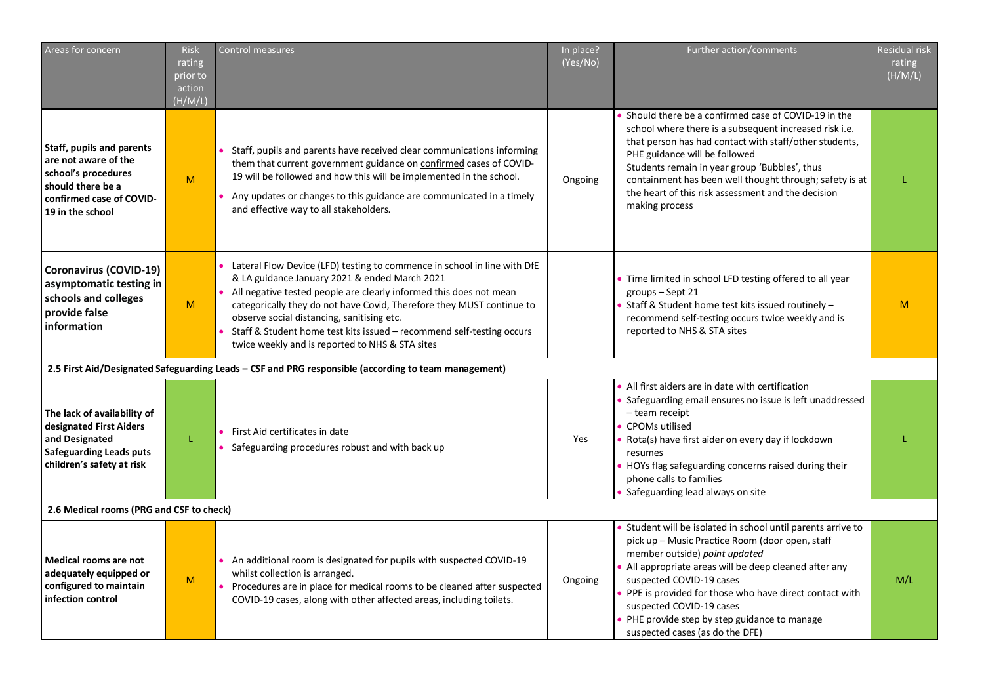| Areas for concern                                                                                                                             | <b>Risk</b><br>rating<br>prior to<br>action<br>(H/M/L)                                                     | Control measures                                                                                                                                                                                                                                                                                                                                                                                                                                         | In place?<br>(Yes/No) | Further action/comments                                                                                                                                                                                                                                                                                                                                                                                      | Residual risk<br>rating<br>(H/M/L) |
|-----------------------------------------------------------------------------------------------------------------------------------------------|------------------------------------------------------------------------------------------------------------|----------------------------------------------------------------------------------------------------------------------------------------------------------------------------------------------------------------------------------------------------------------------------------------------------------------------------------------------------------------------------------------------------------------------------------------------------------|-----------------------|--------------------------------------------------------------------------------------------------------------------------------------------------------------------------------------------------------------------------------------------------------------------------------------------------------------------------------------------------------------------------------------------------------------|------------------------------------|
| Staff, pupils and parents<br>are not aware of the<br>school's procedures<br>should there be a<br>confirmed case of COVID-<br>19 in the school | M                                                                                                          | • Staff, pupils and parents have received clear communications informing<br>them that current government guidance on confirmed cases of COVID-<br>19 will be followed and how this will be implemented in the school.<br>• Any updates or changes to this guidance are communicated in a timely<br>and effective way to all stakeholders.                                                                                                                | Ongoing               | Should there be a confirmed case of COVID-19 in the<br>school where there is a subsequent increased risk i.e.<br>that person has had contact with staff/other students,<br>PHE guidance will be followed<br>Students remain in year group 'Bubbles', thus<br>containment has been well thought through; safety is at<br>the heart of this risk assessment and the decision<br>making process                 |                                    |
| <b>Coronavirus (COVID-19)</b><br>asymptomatic testing in<br>schools and colleges<br>provide false<br>information                              | M                                                                                                          | • Lateral Flow Device (LFD) testing to commence in school in line with DfE<br>& LA guidance January 2021 & ended March 2021<br>• All negative tested people are clearly informed this does not mean<br>categorically they do not have Covid, Therefore they MUST continue to<br>observe social distancing, sanitising etc.<br>• Staff & Student home test kits issued - recommend self-testing occurs<br>twice weekly and is reported to NHS & STA sites |                       | • Time limited in school LFD testing offered to all year<br>groups - Sept 21<br>Staff & Student home test kits issued routinely -<br>recommend self-testing occurs twice weekly and is<br>reported to NHS & STA sites                                                                                                                                                                                        | M                                  |
|                                                                                                                                               |                                                                                                            | 2.5 First Aid/Designated Safeguarding Leads - CSF and PRG responsible (according to team management)                                                                                                                                                                                                                                                                                                                                                     |                       |                                                                                                                                                                                                                                                                                                                                                                                                              |                                    |
| The lack of availability of<br>designated First Aiders<br>and Designated<br><b>Safeguarding Leads puts</b><br>children's safety at risk       | L                                                                                                          | • First Aid certificates in date<br>Safeguarding procedures robust and with back up                                                                                                                                                                                                                                                                                                                                                                      | Yes                   | • All first aiders are in date with certification<br>• Safeguarding email ensures no issue is left unaddressed<br>$-$ team receipt<br>• CPOMs utilised<br>• Rota(s) have first aider on every day if lockdown<br>resumes<br>HOYs flag safeguarding concerns raised during their<br>phone calls to families<br>Safeguarding lead always on site                                                               |                                    |
| 2.6 Medical rooms (PRG and CSF to check)                                                                                                      |                                                                                                            |                                                                                                                                                                                                                                                                                                                                                                                                                                                          |                       |                                                                                                                                                                                                                                                                                                                                                                                                              |                                    |
| <b>Medical rooms are not</b><br>adequately equipped or<br>configured to maintain<br>infection control                                         | $\mathsf{M}% _{T}=\mathsf{M}_{T}\!\left( a,b\right) ,\ \mathsf{M}_{T}=\mathsf{M}_{T}\!\left( a,b\right) ,$ | • An additional room is designated for pupils with suspected COVID-19<br>whilst collection is arranged.<br>• Procedures are in place for medical rooms to be cleaned after suspected<br>COVID-19 cases, along with other affected areas, including toilets.                                                                                                                                                                                              | Ongoing               | Student will be isolated in school until parents arrive to<br>pick up - Music Practice Room (door open, staff<br>member outside) point updated<br>• All appropriate areas will be deep cleaned after any<br>suspected COVID-19 cases<br>PPE is provided for those who have direct contact with<br>suspected COVID-19 cases<br>PHE provide step by step guidance to manage<br>suspected cases (as do the DFE) | M/L                                |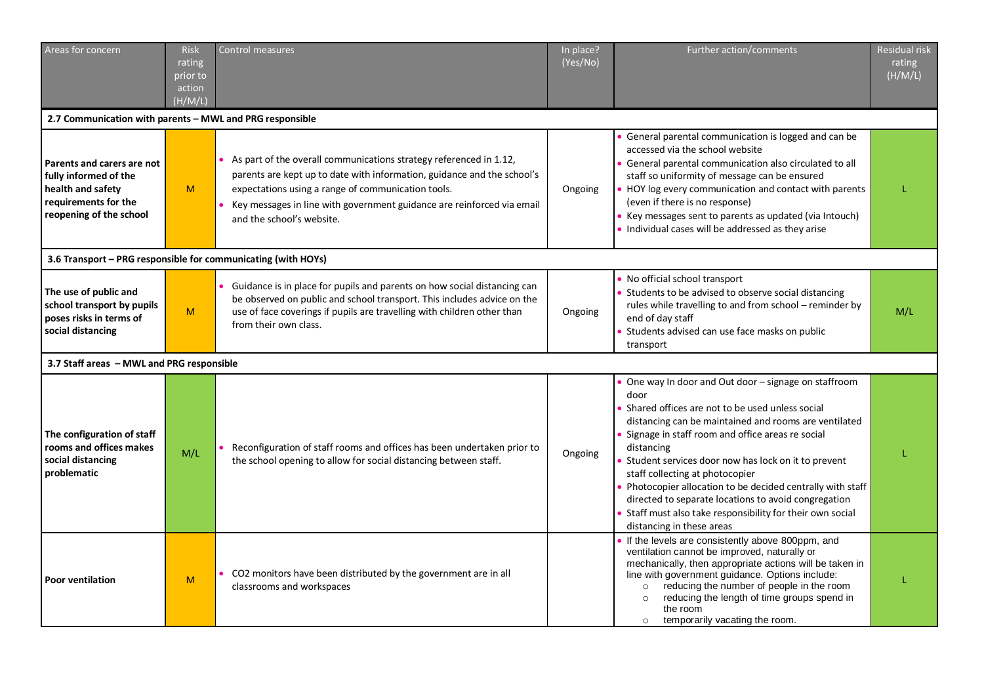| Areas for concern                                                                                                           | <b>Risk</b><br>rating<br>prior to<br>action<br>(H/M/L) | Control measures                                                                                                                                                                                                                                                                                             | In place?<br>(Yes/No) | Further action/comments                                                                                                                                                                                                                                                                                                                                                                                                                                                                                                                           | <b>Residual risk</b><br>rating<br>(H/M/L) |
|-----------------------------------------------------------------------------------------------------------------------------|--------------------------------------------------------|--------------------------------------------------------------------------------------------------------------------------------------------------------------------------------------------------------------------------------------------------------------------------------------------------------------|-----------------------|---------------------------------------------------------------------------------------------------------------------------------------------------------------------------------------------------------------------------------------------------------------------------------------------------------------------------------------------------------------------------------------------------------------------------------------------------------------------------------------------------------------------------------------------------|-------------------------------------------|
| 2.7 Communication with parents - MWL and PRG responsible                                                                    |                                                        |                                                                                                                                                                                                                                                                                                              |                       |                                                                                                                                                                                                                                                                                                                                                                                                                                                                                                                                                   |                                           |
| Parents and carers are not<br>fully informed of the<br>health and safety<br>requirements for the<br>reopening of the school | M                                                      | • As part of the overall communications strategy referenced in 1.12,<br>parents are kept up to date with information, guidance and the school's<br>expectations using a range of communication tools.<br>Key messages in line with government guidance are reinforced via email<br>and the school's website. | Ongoing               | General parental communication is logged and can be<br>accessed via the school website<br>General parental communication also circulated to all<br>staff so uniformity of message can be ensured<br>HOY log every communication and contact with parents<br>(even if there is no response)<br>• Key messages sent to parents as updated (via Intouch)<br>Individual cases will be addressed as they arise                                                                                                                                         |                                           |
| 3.6 Transport - PRG responsible for communicating (with HOYs)                                                               |                                                        |                                                                                                                                                                                                                                                                                                              |                       |                                                                                                                                                                                                                                                                                                                                                                                                                                                                                                                                                   |                                           |
| The use of public and<br>school transport by pupils<br>poses risks in terms of<br>social distancing                         | M                                                      | Guidance is in place for pupils and parents on how social distancing can<br>be observed on public and school transport. This includes advice on the<br>use of face coverings if pupils are travelling with children other than<br>from their own class.                                                      | Ongoing               | • No official school transport<br>Students to be advised to observe social distancing<br>rules while travelling to and from school - reminder by<br>end of day staff<br>Students advised can use face masks on public<br>transport                                                                                                                                                                                                                                                                                                                | M/L                                       |
| 3.7 Staff areas - MWL and PRG responsible                                                                                   |                                                        |                                                                                                                                                                                                                                                                                                              |                       |                                                                                                                                                                                                                                                                                                                                                                                                                                                                                                                                                   |                                           |
| The configuration of staff<br>rooms and offices makes<br>social distancing<br>problematic                                   | M/L                                                    | Reconfiguration of staff rooms and offices has been undertaken prior to<br>the school opening to allow for social distancing between staff.                                                                                                                                                                  | Ongoing               | One way In door and Out door - signage on staffroom<br>door<br>Shared offices are not to be used unless social<br>distancing can be maintained and rooms are ventilated<br>Signage in staff room and office areas re social<br>distancing<br>Student services door now has lock on it to prevent<br>staff collecting at photocopier<br>Photocopier allocation to be decided centrally with staff<br>directed to separate locations to avoid congregation<br>Staff must also take responsibility for their own social<br>distancing in these areas |                                           |
| <b>Poor ventilation</b>                                                                                                     | M                                                      | CO2 monitors have been distributed by the government are in all<br>classrooms and workspaces                                                                                                                                                                                                                 |                       | If the levels are consistently above 800ppm, and<br>ventilation cannot be improved, naturally or<br>mechanically, then appropriate actions will be taken in<br>line with government guidance. Options include:<br>reducing the number of people in the room<br>$\circ$<br>reducing the length of time groups spend in<br>$\circ$<br>the room<br>temporarily vacating the room.<br>$\circ$                                                                                                                                                         |                                           |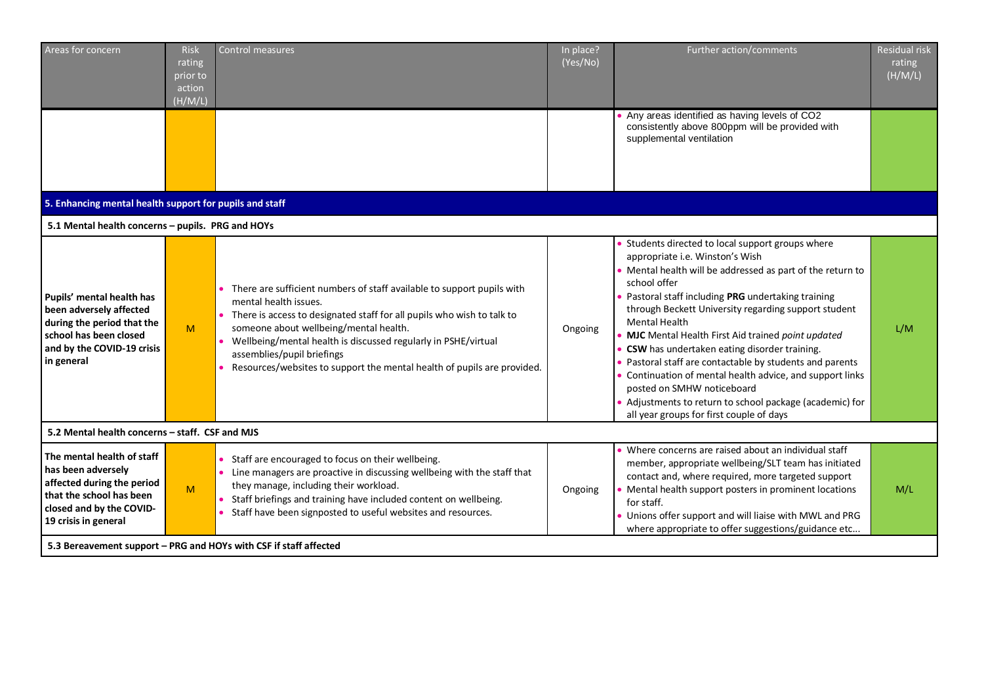| Areas for concern                                                                                                                                              | <b>Risk</b><br>rating<br>prior to<br>action<br>(H/M/L) | Control measures                                                                                                                                                                                                                                                                                                                                                                                       | In place?<br>(Yes/No) | Further action/comments<br>• Any areas identified as having levels of CO2<br>consistently above 800ppm will be provided with<br>supplemental ventilation                                                                                                                                                                                                                                                                                                                                                                                                                                                                                                                          | Residual risk<br>rating<br>(H/M/L) |
|----------------------------------------------------------------------------------------------------------------------------------------------------------------|--------------------------------------------------------|--------------------------------------------------------------------------------------------------------------------------------------------------------------------------------------------------------------------------------------------------------------------------------------------------------------------------------------------------------------------------------------------------------|-----------------------|-----------------------------------------------------------------------------------------------------------------------------------------------------------------------------------------------------------------------------------------------------------------------------------------------------------------------------------------------------------------------------------------------------------------------------------------------------------------------------------------------------------------------------------------------------------------------------------------------------------------------------------------------------------------------------------|------------------------------------|
| 5. Enhancing mental health support for pupils and staff                                                                                                        |                                                        |                                                                                                                                                                                                                                                                                                                                                                                                        |                       |                                                                                                                                                                                                                                                                                                                                                                                                                                                                                                                                                                                                                                                                                   |                                    |
| 5.1 Mental health concerns - pupils. PRG and HOYs                                                                                                              |                                                        |                                                                                                                                                                                                                                                                                                                                                                                                        |                       |                                                                                                                                                                                                                                                                                                                                                                                                                                                                                                                                                                                                                                                                                   |                                    |
| Pupils' mental health has<br>been adversely affected<br>during the period that the<br>school has been closed<br>and by the COVID-19 crisis<br>in general       | M                                                      | • There are sufficient numbers of staff available to support pupils with<br>mental health issues.<br>• There is access to designated staff for all pupils who wish to talk to<br>someone about wellbeing/mental health.<br>• Wellbeing/mental health is discussed regularly in PSHE/virtual<br>assemblies/pupil briefings<br>• Resources/websites to support the mental health of pupils are provided. | Ongoing               | • Students directed to local support groups where<br>appropriate i.e. Winston's Wish<br>• Mental health will be addressed as part of the return to<br>school offer<br>• Pastoral staff including PRG undertaking training<br>through Beckett University regarding support student<br><b>Mental Health</b><br>• MJC Mental Health First Aid trained point updated<br>• CSW has undertaken eating disorder training.<br>• Pastoral staff are contactable by students and parents<br>• Continuation of mental health advice, and support links<br>posted on SMHW noticeboard<br>• Adjustments to return to school package (academic) for<br>all year groups for first couple of days | L/M                                |
| 5.2 Mental health concerns - staff. CSF and MJS                                                                                                                |                                                        |                                                                                                                                                                                                                                                                                                                                                                                                        |                       |                                                                                                                                                                                                                                                                                                                                                                                                                                                                                                                                                                                                                                                                                   |                                    |
| The mental health of staff<br>has been adversely<br>affected during the period<br>that the school has been<br>closed and by the COVID-<br>19 crisis in general | M                                                      | • Staff are encouraged to focus on their wellbeing.<br>• Line managers are proactive in discussing wellbeing with the staff that<br>they manage, including their workload.<br>• Staff briefings and training have included content on wellbeing.<br>• Staff have been signposted to useful websites and resources.                                                                                     | Ongoing               | • Where concerns are raised about an individual staff<br>member, appropriate wellbeing/SLT team has initiated<br>contact and, where required, more targeted support<br>• Mental health support posters in prominent locations<br>for staff.<br>• Unions offer support and will liaise with MWL and PRG<br>where appropriate to offer suggestions/guidance etc                                                                                                                                                                                                                                                                                                                     | M/L                                |
|                                                                                                                                                                |                                                        | 5.3 Bereavement support - PRG and HOYs with CSF if staff affected                                                                                                                                                                                                                                                                                                                                      |                       |                                                                                                                                                                                                                                                                                                                                                                                                                                                                                                                                                                                                                                                                                   |                                    |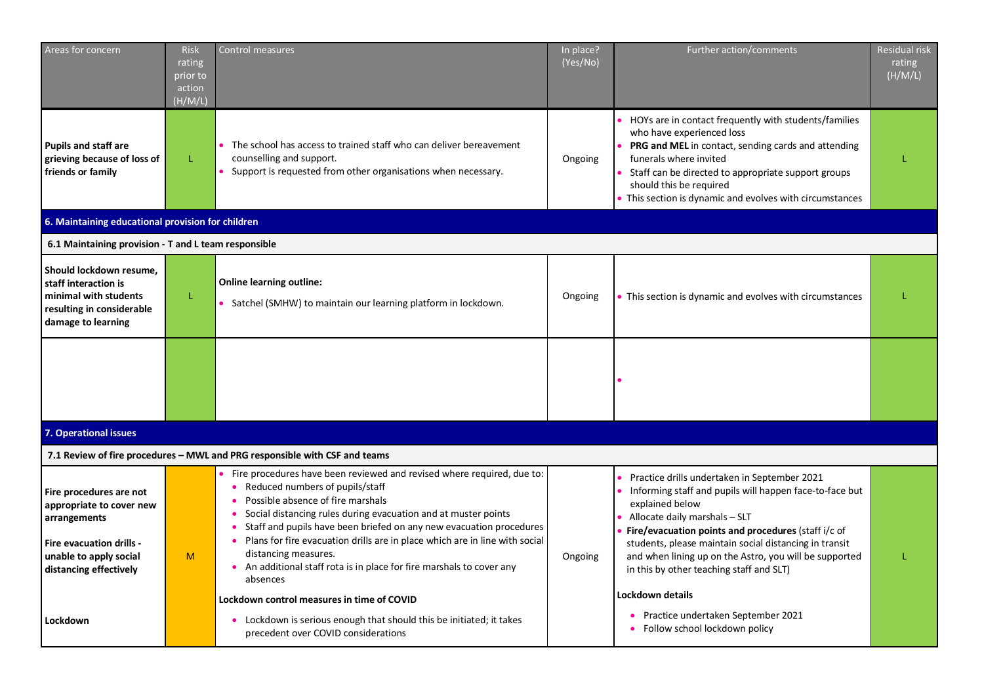| Areas for concern                                                                                                                                   | <b>Risk</b><br>rating<br>prior to<br>action<br>(H/M/L) | <b>Control measures</b>                                                                                                                                                                                                                                                                                                                                                                                                                                                                       | In place?<br>(Yes/No) | Further action/comments                                                                                                                                                                                                                                                                                                                                                            | <b>Residual risk</b><br>rating<br>(H/M/L) |
|-----------------------------------------------------------------------------------------------------------------------------------------------------|--------------------------------------------------------|-----------------------------------------------------------------------------------------------------------------------------------------------------------------------------------------------------------------------------------------------------------------------------------------------------------------------------------------------------------------------------------------------------------------------------------------------------------------------------------------------|-----------------------|------------------------------------------------------------------------------------------------------------------------------------------------------------------------------------------------------------------------------------------------------------------------------------------------------------------------------------------------------------------------------------|-------------------------------------------|
| <b>Pupils and staff are</b><br>grieving because of loss of<br>friends or family                                                                     | L                                                      | The school has access to trained staff who can deliver bereavement<br>counselling and support.<br>Support is requested from other organisations when necessary.                                                                                                                                                                                                                                                                                                                               | Ongoing               | HOYs are in contact frequently with students/families<br>who have experienced loss<br>PRG and MEL in contact, sending cards and attending<br>funerals where invited<br>Staff can be directed to appropriate support groups<br>should this be required<br>• This section is dynamic and evolves with circumstances                                                                  |                                           |
| 6. Maintaining educational provision for children                                                                                                   |                                                        |                                                                                                                                                                                                                                                                                                                                                                                                                                                                                               |                       |                                                                                                                                                                                                                                                                                                                                                                                    |                                           |
| 6.1 Maintaining provision - T and L team responsible                                                                                                |                                                        |                                                                                                                                                                                                                                                                                                                                                                                                                                                                                               |                       |                                                                                                                                                                                                                                                                                                                                                                                    |                                           |
| Should lockdown resume,<br>staff interaction is<br>minimal with students<br>resulting in considerable<br>damage to learning                         | L                                                      | <b>Online learning outline:</b><br>Satchel (SMHW) to maintain our learning platform in lockdown.                                                                                                                                                                                                                                                                                                                                                                                              | Ongoing               | • This section is dynamic and evolves with circumstances                                                                                                                                                                                                                                                                                                                           |                                           |
|                                                                                                                                                     |                                                        |                                                                                                                                                                                                                                                                                                                                                                                                                                                                                               |                       |                                                                                                                                                                                                                                                                                                                                                                                    |                                           |
| 7. Operational issues                                                                                                                               |                                                        |                                                                                                                                                                                                                                                                                                                                                                                                                                                                                               |                       |                                                                                                                                                                                                                                                                                                                                                                                    |                                           |
|                                                                                                                                                     |                                                        | 7.1 Review of fire procedures - MWL and PRG responsible with CSF and teams                                                                                                                                                                                                                                                                                                                                                                                                                    |                       |                                                                                                                                                                                                                                                                                                                                                                                    |                                           |
| Fire procedures are not<br>appropriate to cover new<br>arrangements<br>Fire evacuation drills -<br>unable to apply social<br>distancing effectively | M                                                      | Fire procedures have been reviewed and revised where required, due to:<br>• Reduced numbers of pupils/staff<br>• Possible absence of fire marshals<br>• Social distancing rules during evacuation and at muster points<br>• Staff and pupils have been briefed on any new evacuation procedures<br>• Plans for fire evacuation drills are in place which are in line with social<br>distancing measures.<br>• An additional staff rota is in place for fire marshals to cover any<br>absences | Ongoing               | Practice drills undertaken in September 2021<br>Informing staff and pupils will happen face-to-face but<br>explained below<br>Allocate daily marshals - SLT<br>Fire/evacuation points and procedures (staff i/c of<br>students, please maintain social distancing in transit<br>and when lining up on the Astro, you will be supported<br>in this by other teaching staff and SLT) |                                           |
| Lockdown                                                                                                                                            |                                                        | Lockdown control measures in time of COVID<br>• Lockdown is serious enough that should this be initiated; it takes<br>precedent over COVID considerations                                                                                                                                                                                                                                                                                                                                     |                       | Lockdown details<br>• Practice undertaken September 2021<br>• Follow school lockdown policy                                                                                                                                                                                                                                                                                        |                                           |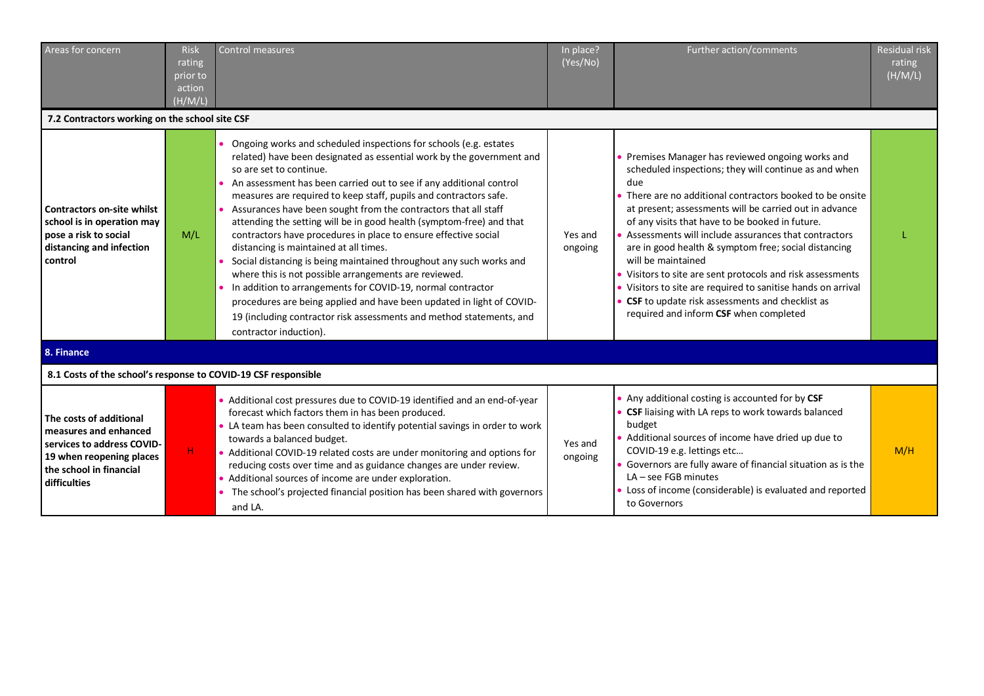| Areas for concern                                                                                                                                     | <b>Risk</b><br>rating<br>prior to<br>action<br>(H/M/L) | Control measures                                                                                                                                                                                                                                                                                                                                                                                                                                                                                                                                                                                                                                                                                                                                                                                                                                                                                                                                      | In place?<br>(Yes/No) | Further action/comments                                                                                                                                                                                                                                                                                                                                                                                                                                                                                                                                                                                                                                           | <b>Residual risk</b><br>rating<br>(H/M/L) |
|-------------------------------------------------------------------------------------------------------------------------------------------------------|--------------------------------------------------------|-------------------------------------------------------------------------------------------------------------------------------------------------------------------------------------------------------------------------------------------------------------------------------------------------------------------------------------------------------------------------------------------------------------------------------------------------------------------------------------------------------------------------------------------------------------------------------------------------------------------------------------------------------------------------------------------------------------------------------------------------------------------------------------------------------------------------------------------------------------------------------------------------------------------------------------------------------|-----------------------|-------------------------------------------------------------------------------------------------------------------------------------------------------------------------------------------------------------------------------------------------------------------------------------------------------------------------------------------------------------------------------------------------------------------------------------------------------------------------------------------------------------------------------------------------------------------------------------------------------------------------------------------------------------------|-------------------------------------------|
| 7.2 Contractors working on the school site CSF                                                                                                        |                                                        |                                                                                                                                                                                                                                                                                                                                                                                                                                                                                                                                                                                                                                                                                                                                                                                                                                                                                                                                                       |                       |                                                                                                                                                                                                                                                                                                                                                                                                                                                                                                                                                                                                                                                                   |                                           |
| <b>Contractors on-site whilst</b><br>school is in operation may<br>pose a risk to social<br>distancing and infection<br>control                       | M/L                                                    | Ongoing works and scheduled inspections for schools (e.g. estates<br>related) have been designated as essential work by the government and<br>so are set to continue.<br>An assessment has been carried out to see if any additional control<br>measures are required to keep staff, pupils and contractors safe.<br>Assurances have been sought from the contractors that all staff<br>attending the setting will be in good health (symptom-free) and that<br>contractors have procedures in place to ensure effective social<br>distancing is maintained at all times.<br>Social distancing is being maintained throughout any such works and<br>where this is not possible arrangements are reviewed.<br>• In addition to arrangements for COVID-19, normal contractor<br>procedures are being applied and have been updated in light of COVID-<br>19 (including contractor risk assessments and method statements, and<br>contractor induction). | Yes and<br>ongoing    | Premises Manager has reviewed ongoing works and<br>scheduled inspections; they will continue as and when<br>due<br>There are no additional contractors booked to be onsite<br>at present; assessments will be carried out in advance<br>of any visits that have to be booked in future.<br>• Assessments will include assurances that contractors<br>are in good health & symptom free; social distancing<br>will be maintained<br>• Visitors to site are sent protocols and risk assessments<br>• Visitors to site are required to sanitise hands on arrival<br><b>CSF</b> to update risk assessments and checklist as<br>required and inform CSF when completed |                                           |
| 8. Finance                                                                                                                                            |                                                        |                                                                                                                                                                                                                                                                                                                                                                                                                                                                                                                                                                                                                                                                                                                                                                                                                                                                                                                                                       |                       |                                                                                                                                                                                                                                                                                                                                                                                                                                                                                                                                                                                                                                                                   |                                           |
| 8.1 Costs of the school's response to COVID-19 CSF responsible                                                                                        |                                                        |                                                                                                                                                                                                                                                                                                                                                                                                                                                                                                                                                                                                                                                                                                                                                                                                                                                                                                                                                       |                       |                                                                                                                                                                                                                                                                                                                                                                                                                                                                                                                                                                                                                                                                   |                                           |
| The costs of additional<br>measures and enhanced<br>services to address COVID-<br>19 when reopening places<br>the school in financial<br>difficulties | н.                                                     | • Additional cost pressures due to COVID-19 identified and an end-of-year<br>forecast which factors them in has been produced.<br>• LA team has been consulted to identify potential savings in order to work<br>towards a balanced budget.<br>• Additional COVID-19 related costs are under monitoring and options for<br>reducing costs over time and as guidance changes are under review.<br>• Additional sources of income are under exploration.<br>• The school's projected financial position has been shared with governors<br>and LA.                                                                                                                                                                                                                                                                                                                                                                                                       | Yes and<br>ongoing    | • Any additional costing is accounted for by CSF<br>• CSF liaising with LA reps to work towards balanced<br>budget<br>• Additional sources of income have dried up due to<br>COVID-19 e.g. lettings etc<br>• Governors are fully aware of financial situation as is the<br>$LA - see FGB minutes$<br>• Loss of income (considerable) is evaluated and reported<br>to Governors                                                                                                                                                                                                                                                                                    | M/H                                       |